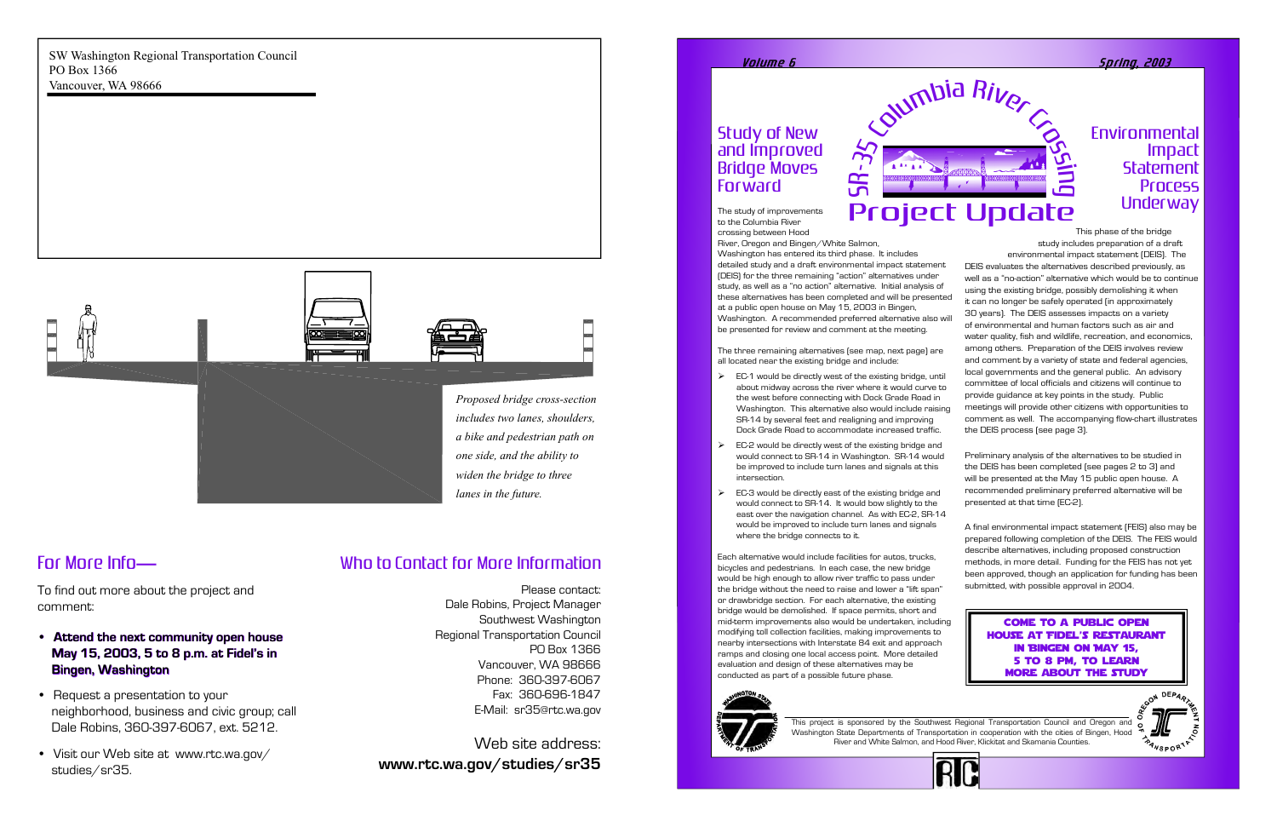## Study of New and Improved Bridge Moves Forward

The study of improvements to the Columbia River crossing between Hood

River, Oregon and Bingen/White Salmon,

ص  $\bm{\alpha}$ 

Washington has entered its third phase. It includes detailed study and a draft environmental impact statement (DEIS) for the three remaining "action" alternatives under study, as well as a "no action" alternative. Initial analysis of these alternatives has been completed and will be presented at a public open house on May 15, 2003 in Bingen, Washington. A recommended preferred alternative also will be presented for review and comment at the meeting.

- $\triangleright$  EC-1 would be directly west of the existing bridge, until about midway across the river where it would curve to the west before connecting with Dock Grade Road in Washington. This alternative also would include raising SR-14 by several feet and realigning and improving Dock Grade Road to accommodate increased traffic.
- $\triangleright$  EC-2 would be directly west of the existing bridge and would connect to SR-14 in Washington. SR-14 would be improved to include turn lanes and signals at this intersection.
- $\triangleright$  EC-3 would be directly east of the existing bridge and would connect to SR-14. It would bow slightly to the east over the navigation channel. As with EC-2, SR-14 would be improved to include turn lanes and signals where the bridge connects to it.

The three remaining alternatives (see map, next page) are all located near the existing bridge and include:

## Environmental Impact **Statement** Process **Underway**

Each alternative would include facilities for autos, trucks, bicycles and pedestrians. In each case, the new bridge would be high enough to allow river traffic to pass under the bridge without the need to raise and lower a "lift span" or drawbridge section. For each alternative, the existing bridge would be demolished. If space permits, short and mid-term improvements also would be undertaken, including modifying toll collection facilities, making improvements to nearby intersections with Interstate 84 exit and approach ramps and closing one local access point. More detailed evaluation and design of these alternatives may be conducted as part of a possible future phase.



- **Attend the next community open house Attend the next community open house May 15, 2003, 5 to 8 p.m. at Fidel's in May 15, 2003, 5 to 8 p.m. at Fidel's in Bingen, Washington Bingen, Washington**
- Request a presentation to your neighborhood, business and civic group; call Dale Robins, 360-397-6067, ext. 5212.
- Visit our Web site at www.rtc.wa.gov/ studies/sr35.

This phase of the bridge study includes preparation of a draft environmental impact statement (DEIS). The DEIS evaluates the alternatives described previously, as well as a "no-action" alternative which would be to continue using the existing bridge, possibly demolishing it when it can no longer be safely operated (in approximately 30 years). The DEIS assesses impacts on a variety of environmental and human factors such as air and water quality, fish and wildlife, recreation, and economics, among others. Preparation of the DEIS involves review and comment by a variety of state and federal agencies, local governments and the general public. An advisory committee of local officials and citizens will continue to provide guidance at key points in the study. Public meetings will provide other citizens with opportunities to comment as well. The accompanying flow-chart illustrates the DEIS process (see page 3).

Preliminary analysis of the alternatives to be studied in the DEIS has been completed (see pages 2 to 3) and will be presented at the May 15 public open house. A recommended preliminary preferred alternative will be presented at that time (EC-2).

A final environmental impact statement (FEIS) also may be prepared following completion of the DEIS. The FEIS would describe alternatives, including proposed construction methods, in more detail. Funding for the FEIS has not yet been approved, though an application for funding has been submitted, with possible approval in 2004.



This project is sponsored by the Southwest Regional Transportation Council and Oregon and Washington State Departments of Transportation in cooperation with the cities of Bingen, Hood River and White Salmon, and Hood River, Klickitat and Skamania Counties.

#### <u>Volume 6 Spring, 2003</u>

# Who to Contact for More Information

Please contact: Dale Robins, Project Manager Southwest Washington Regional Transportation Council PO Box 1366 Vancouver, WA 98666 Phone: 360-397-6067 Fax: 360-696-1847 E-Mail: sr35@rtc.wa.gov

Web site address: **www.rtc.wa.gov/studies/sr35**

SW Washington Regional Transportation Council PO Box 1366 Vancouver, WA 98666

# For More Info **—**

To find out more about the project and comment:



*lanes in the future.*

Come to a public open house at Fidel's Restaurant in Bingen on May 15, 5 to 8 pm, to learn more about the study